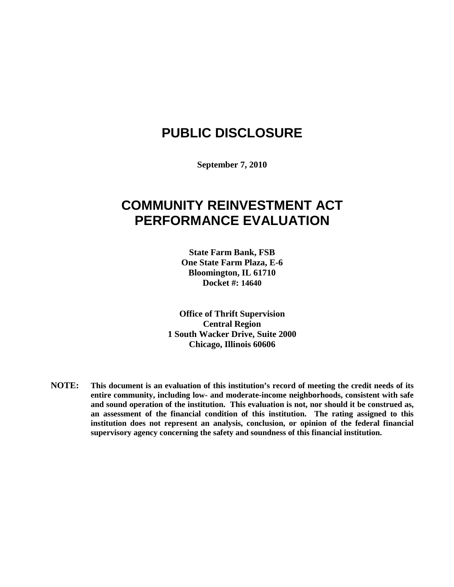# **PUBLIC DISCLOSURE**

**September 7, 2010**

## **COMMUNITY REINVESTMENT ACT PERFORMANCE EVALUATION**

**State Farm Bank, FSB One State Farm Plaza, E-6 Bloomington, IL 61710 Docket #: 14640**

**Office of Thrift Supervision Central Region 1 South Wacker Drive, Suite 2000 Chicago, Illinois 60606**

**NOTE: This document is an evaluation of this institution's record of meeting the credit needs of its entire community, including low- and moderate-income neighborhoods, consistent with safe and sound operation of the institution. This evaluation is not, nor should it be construed as, an assessment of the financial condition of this institution. The rating assigned to this institution does not represent an analysis, conclusion, or opinion of the federal financial supervisory agency concerning the safety and soundness of this financial institution.**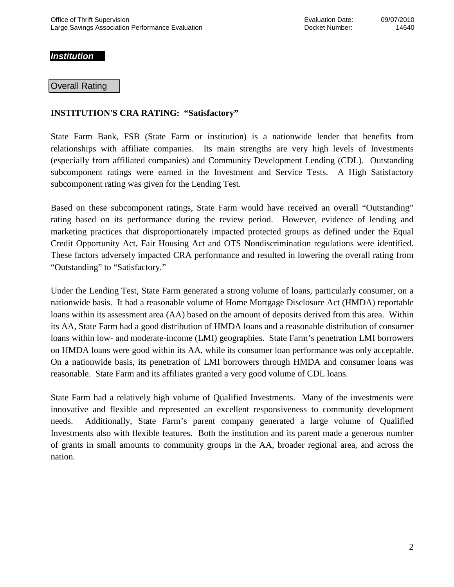#### *Institution*

#### Overall Rating

### **INSTITUTION'S CRA RATING: "Satisfactory"**

State Farm Bank, FSB (State Farm or institution) is a nationwide lender that benefits from relationships with affiliate companies. Its main strengths are very high levels of Investments (especially from affiliated companies) and Community Development Lending (CDL). Outstanding subcomponent ratings were earned in the Investment and Service Tests. A High Satisfactory subcomponent rating was given for the Lending Test.

Based on these subcomponent ratings, State Farm would have received an overall "Outstanding" rating based on its performance during the review period. However, evidence of lending and marketing practices that disproportionately impacted protected groups as defined under the Equal Credit Opportunity Act, Fair Housing Act and OTS Nondiscrimination regulations were identified. These factors adversely impacted CRA performance and resulted in lowering the overall rating from "Outstanding" to "Satisfactory."

Under the Lending Test, State Farm generated a strong volume of loans, particularly consumer, on a nationwide basis. It had a reasonable volume of Home Mortgage Disclosure Act (HMDA) reportable loans within its assessment area (AA) based on the amount of deposits derived from this area. Within its AA, State Farm had a good distribution of HMDA loans and a reasonable distribution of consumer loans within low- and moderate-income (LMI) geographies. State Farm's penetration LMI borrowers on HMDA loans were good within its AA, while its consumer loan performance was only acceptable. On a nationwide basis, its penetration of LMI borrowers through HMDA and consumer loans was reasonable. State Farm and its affiliates granted a very good volume of CDL loans.

State Farm had a relatively high volume of Qualified Investments. Many of the investments were innovative and flexible and represented an excellent responsiveness to community development needs. Additionally, State Farm's parent company generated a large volume of Qualified Investments also with flexible features. Both the institution and its parent made a generous number of grants in small amounts to community groups in the AA, broader regional area, and across the nation.